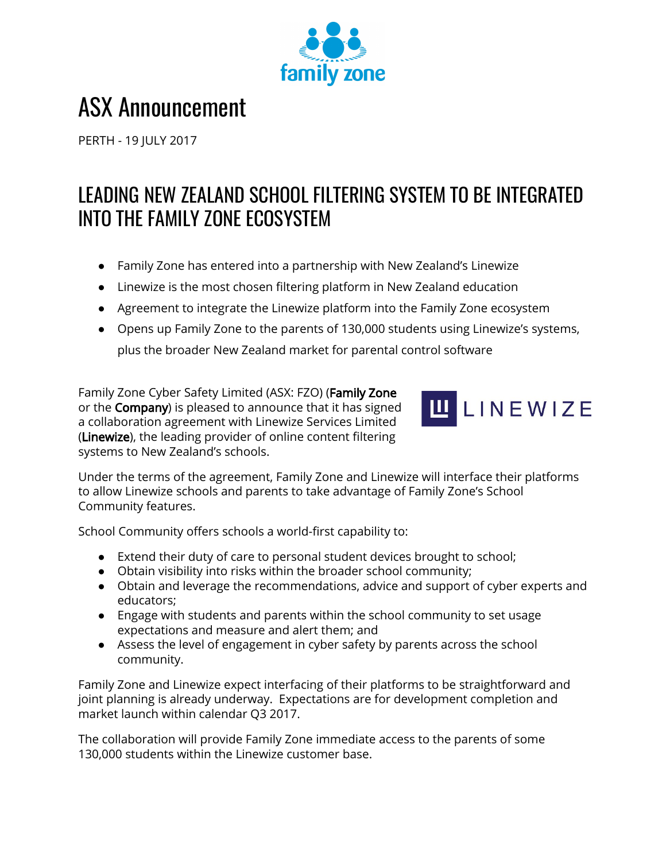

# ASX Announcement

PERTH - 19 JULY 2017

# LEADING NEW ZEALAND SCHOOL FILTERING SYSTEM TO BE INTEGRATED INTO THE FAMILY ZONE ECOSYSTEM

- Family Zone has entered into a partnership with New Zealand's Linewize
- Linewize is the most chosen filtering platform in New Zealand education
- Agreement to integrate the Linewize platform into the Family Zone ecosystem
- Opens up Family Zone to the parents of 130,000 students using Linewize's systems, plus the broader New Zealand market for parental control software

Family Zone Cyber Safety Limited (ASX: FZO) (Family Zone or the Company) is pleased to announce that it has signed a collaboration agreement with Linewize Services Limited (Linewize), the leading provider of online content filtering systems to New Zealand's schools.



Under the terms of the agreement, Family Zone and Linewize will interface their platforms to allow Linewize schools and parents to take advantage of Family Zone's School Community features.

School Community offers schools a world-first capability to:

- Extend their duty of care to personal student devices brought to school;
- Obtain visibility into risks within the broader school community;
- Obtain and leverage the recommendations, advice and support of cyber experts and educators;
- Engage with students and parents within the school community to set usage expectations and measure and alert them; and
- Assess the level of engagement in cyber safety by parents across the school community.

Family Zone and Linewize expect interfacing of their platforms to be straightforward and joint planning is already underway. Expectations are for development completion and market launch within calendar Q3 2017.

The collaboration will provide Family Zone immediate access to the parents of some 130,000 students within the Linewize customer base.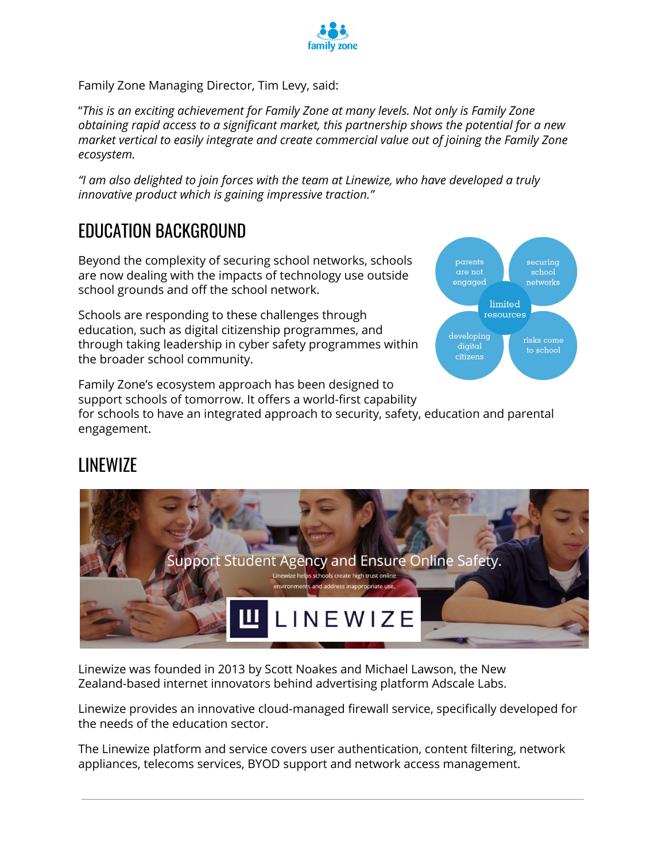

Family Zone Managing Director, Tim Levy, said:

"*This is an exciting achievement for Family Zone at many levels. Not only is Family Zone obtaining rapid access to a significant market, this partnership shows the potential for a new market vertical to easily integrate and create commercial value out of joining the Family Zone ecosystem.*

*"I am also delighted to join forces with the team at Linewize, who have developed a truly innovative product which is gaining impressive traction."*

### EDUCATION BACKGROUND

Beyond the complexity of securing school networks, schools are now dealing with the impacts of technology use outside school grounds and off the school network.

Schools are responding to these challenges through education, such as digital citizenship programmes, and through taking leadership in cyber safety programmes within the broader school community.

parents securing are not school engaged networks limited **TASOUTCAS** developing digital to school citizens

Family Zone's ecosystem approach has been designed to support schools of tomorrow. It offers a world-first capability for schools to have an integrated approach to security, safety, education and parental

## LINEWIZE

engagement.



Linewize was founded in 2013 by Scott Noakes and Michael Lawson, the New Zealand-based internet innovators behind advertising platform Adscale Labs.

Linewize provides an innovative cloud-managed firewall service, specifically developed for the needs of the education sector.

The Linewize platform and service covers user authentication, content filtering, network appliances, telecoms services, BYOD support and network access management.